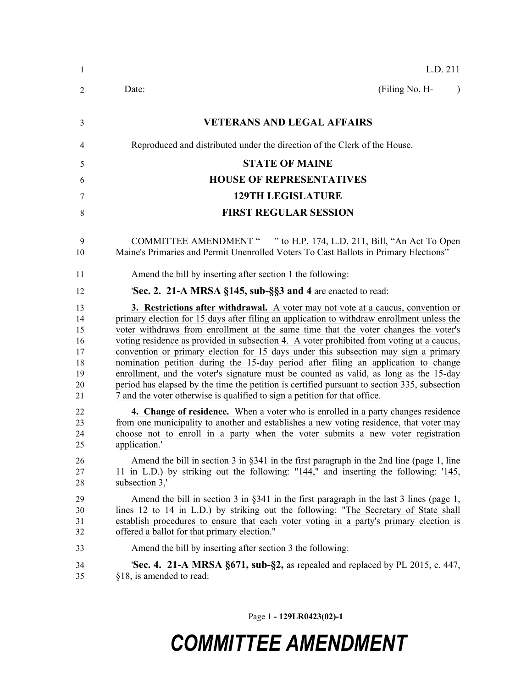| 1                                                  | L.D. 211                                                                                                                                                                                                                                                                                                                                                                                                                                                                                                                                                                                                                                                                                                                                                                                                                |
|----------------------------------------------------|-------------------------------------------------------------------------------------------------------------------------------------------------------------------------------------------------------------------------------------------------------------------------------------------------------------------------------------------------------------------------------------------------------------------------------------------------------------------------------------------------------------------------------------------------------------------------------------------------------------------------------------------------------------------------------------------------------------------------------------------------------------------------------------------------------------------------|
| $\overline{2}$                                     | (Filing No. H-<br>Date:<br>$\lambda$                                                                                                                                                                                                                                                                                                                                                                                                                                                                                                                                                                                                                                                                                                                                                                                    |
| 3                                                  | <b>VETERANS AND LEGAL AFFAIRS</b>                                                                                                                                                                                                                                                                                                                                                                                                                                                                                                                                                                                                                                                                                                                                                                                       |
| 4                                                  | Reproduced and distributed under the direction of the Clerk of the House.                                                                                                                                                                                                                                                                                                                                                                                                                                                                                                                                                                                                                                                                                                                                               |
| 5                                                  | <b>STATE OF MAINE</b>                                                                                                                                                                                                                                                                                                                                                                                                                                                                                                                                                                                                                                                                                                                                                                                                   |
| 6                                                  | <b>HOUSE OF REPRESENTATIVES</b>                                                                                                                                                                                                                                                                                                                                                                                                                                                                                                                                                                                                                                                                                                                                                                                         |
| 7                                                  | <b>129TH LEGISLATURE</b>                                                                                                                                                                                                                                                                                                                                                                                                                                                                                                                                                                                                                                                                                                                                                                                                |
| 8                                                  | <b>FIRST REGULAR SESSION</b>                                                                                                                                                                                                                                                                                                                                                                                                                                                                                                                                                                                                                                                                                                                                                                                            |
| 9<br>10                                            | COMMITTEE AMENDMENT " " to H.P. 174, L.D. 211, Bill, "An Act To Open<br>Maine's Primaries and Permit Unenrolled Voters To Cast Ballots in Primary Elections"                                                                                                                                                                                                                                                                                                                                                                                                                                                                                                                                                                                                                                                            |
| 11                                                 | Amend the bill by inserting after section 1 the following:                                                                                                                                                                                                                                                                                                                                                                                                                                                                                                                                                                                                                                                                                                                                                              |
| 12                                                 | 'Sec. 2. 21-A MRSA §145, sub-§§3 and 4 are enacted to read:                                                                                                                                                                                                                                                                                                                                                                                                                                                                                                                                                                                                                                                                                                                                                             |
| 13<br>14<br>15<br>16<br>17<br>18<br>19<br>20<br>21 | 3. Restrictions after withdrawal. A voter may not vote at a caucus, convention or<br>primary election for 15 days after filing an application to withdraw enrollment unless the<br>voter withdraws from enrollment at the same time that the voter changes the voter's<br>voting residence as provided in subsection 4. A voter prohibited from voting at a caucus,<br>convention or primary election for 15 days under this subsection may sign a primary<br>nomination petition during the 15-day period after filing an application to change<br>enrollment, and the voter's signature must be counted as valid, as long as the 15-day<br>period has elapsed by the time the petition is certified pursuant to section 335, subsection<br>7 and the voter otherwise is qualified to sign a petition for that office. |
| 22<br>23<br>24<br>25                               | 4. Change of residence. When a voter who is enrolled in a party changes residence<br>from one municipality to another and establishes a new voting residence, that voter may<br>choose not to enroll in a party when the voter submits a new voter registration<br>application.'                                                                                                                                                                                                                                                                                                                                                                                                                                                                                                                                        |
| 26<br>27<br>28                                     | Amend the bill in section 3 in $\S 341$ in the first paragraph in the 2nd line (page 1, line<br>11 in L.D.) by striking out the following: " $144$ ," and inserting the following: ' $145$ ,<br>subsection 3,                                                                                                                                                                                                                                                                                                                                                                                                                                                                                                                                                                                                           |
| 29<br>30<br>31<br>32                               | Amend the bill in section $3$ in $\S 341$ in the first paragraph in the last $3$ lines (page 1,<br>lines 12 to 14 in L.D.) by striking out the following: "The Secretary of State shall<br>establish procedures to ensure that each voter voting in a party's primary election is<br>offered a ballot for that primary election."                                                                                                                                                                                                                                                                                                                                                                                                                                                                                       |
| 33                                                 | Amend the bill by inserting after section 3 the following:                                                                                                                                                                                                                                                                                                                                                                                                                                                                                                                                                                                                                                                                                                                                                              |
| 34<br>35                                           | <b>Sec. 4.</b> 21-A MRSA §671, sub-§2, as repealed and replaced by PL 2015, c. 447,<br>§18, is amended to read:                                                                                                                                                                                                                                                                                                                                                                                                                                                                                                                                                                                                                                                                                                         |

Page 1 **- 129LR0423(02)-1**

## *COMMITTEE AMENDMENT*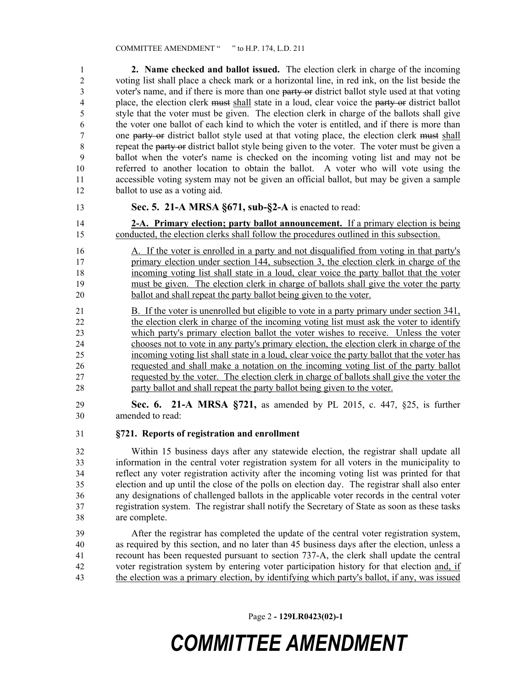**2. Name checked and ballot issued.** The election clerk in charge of the incoming voting list shall place a check mark or a horizontal line, in red ink, on the list beside the 3 voter's name, and if there is more than one party or district ballot style used at that voting place, the election clerk must shall state in a loud, clear voice the party or district ballot style that the voter must be given. The election clerk in charge of the ballots shall give the voter one ballot of each kind to which the voter is entitled, and if there is more than 7 one party or district ballot style used at that voting place, the election clerk must shall repeat the party or district ballot style being given to the voter. The voter must be given a ballot when the voter's name is checked on the incoming voting list and may not be referred to another location to obtain the ballot. A voter who will vote using the accessible voting system may not be given an official ballot, but may be given a sample ballot to use as a voting aid.

## **Sec. 5. 21-A MRSA §671, sub-§2-A** is enacted to read:

 **2-A. Primary election; party ballot announcement.** If a primary election is being conducted, the election clerks shall follow the procedures outlined in this subsection.

- A. If the voter is enrolled in a party and not disqualified from voting in that party's 17 primary election under section 144, subsection 3, the election clerk in charge of the incoming voting list shall state in a loud, clear voice the party ballot that the voter must be given. The election clerk in charge of ballots shall give the voter the party ballot and shall repeat the party ballot being given to the voter.
- B. If the voter is unenrolled but eligible to vote in a party primary under section 341, the election clerk in charge of the incoming voting list must ask the voter to identify which party's primary election ballot the voter wishes to receive. Unless the voter chooses not to vote in any party's primary election, the election clerk in charge of the incoming voting list shall state in a loud, clear voice the party ballot that the voter has requested and shall make a notation on the incoming voting list of the party ballot requested by the voter. The election clerk in charge of ballots shall give the voter the party ballot and shall repeat the party ballot being given to the voter.
- **Sec. 6. 21-A MRSA §721,** as amended by PL 2015, c. 447, §25, is further amended to read:
- **§721. Reports of registration and enrollment**

 Within 15 business days after any statewide election, the registrar shall update all information in the central voter registration system for all voters in the municipality to reflect any voter registration activity after the incoming voting list was printed for that election and up until the close of the polls on election day. The registrar shall also enter any designations of challenged ballots in the applicable voter records in the central voter registration system. The registrar shall notify the Secretary of State as soon as these tasks are complete.

 After the registrar has completed the update of the central voter registration system, as required by this section, and no later than 45 business days after the election, unless a recount has been requested pursuant to section 737-A, the clerk shall update the central voter registration system by entering voter participation history for that election and, if the election was a primary election, by identifying which party's ballot, if any, was issued

Page 2 **- 129LR0423(02)-1**

## *COMMITTEE AMENDMENT*